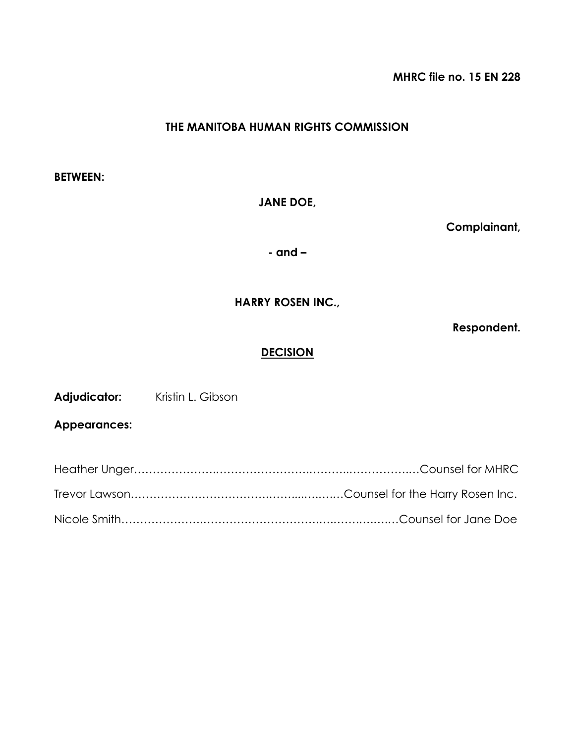**MHRC file no. 15 EN 228**

# **THE MANITOBA HUMAN RIGHTS COMMISSION**

**BETWEEN:**

**JANE DOE,**

**Complainant,**

**- and –**

## **HARRY ROSEN INC.,**

**Respondent.**

### **DECISION**

Adjudicator: Kristin L. Gibson

**Appearances:**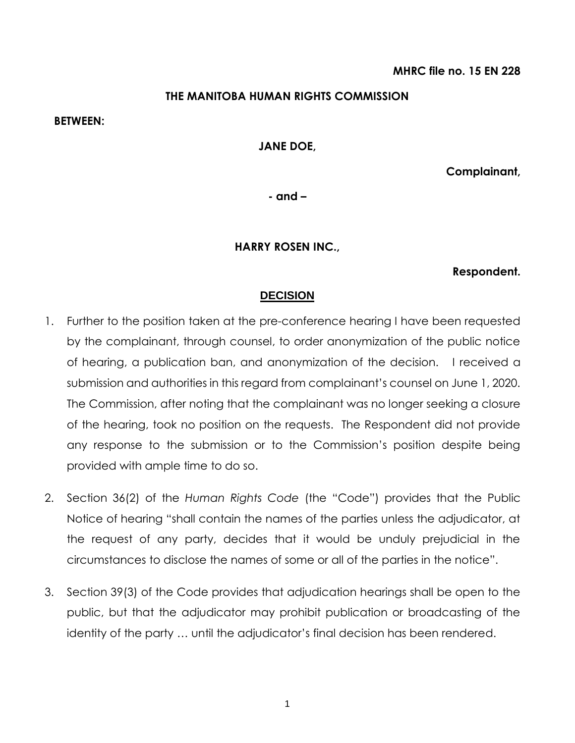### **THE MANITOBA HUMAN RIGHTS COMMISSION**

#### **BETWEEN:**

#### **JANE DOE,**

**Complainant,**

**- and –**

#### **HARRY ROSEN INC.,**

#### **Respondent.**

#### **DECISION**

- 1. Further to the position taken at the pre-conference hearing I have been requested by the complainant, through counsel, to order anonymization of the public notice of hearing, a publication ban, and anonymization of the decision. I received a submission and authorities in this regard from complainant's counsel on June 1, 2020. The Commission, after noting that the complainant was no longer seeking a closure of the hearing, took no position on the requests. The Respondent did not provide any response to the submission or to the Commission's position despite being provided with ample time to do so.
- 2. Section 36(2) of the *Human Rights Code* (the "Code") provides that the Public Notice of hearing "shall contain the names of the parties unless the adjudicator, at the request of any party, decides that it would be unduly prejudicial in the circumstances to disclose the names of some or all of the parties in the notice".
- 3. Section 39(3) of the Code provides that adjudication hearings shall be open to the public, but that the adjudicator may prohibit publication or broadcasting of the identity of the party … until the adjudicator's final decision has been rendered.